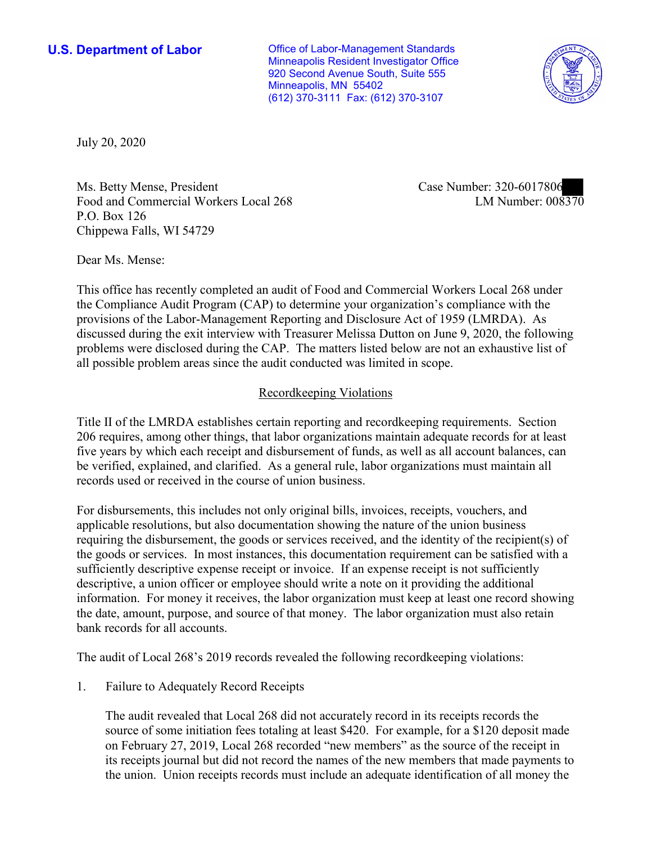**U.S. Department of Labor Conservative Conservative Conservative U.S. Department of Labor** Minneapolis Resident Investigator Office 920 Second Avenue South, Suite 555 Minneapolis, MN 55402 (612) 370-3111 Fax: (612) 370-3107



July 20, 2020

Ms. Betty Mense, President Case Number: 320-6017806 Food and Commercial Workers Local 268 P.O. Box 126 Chippewa Falls, WI 54729

LM Number:  $008370$ 

Dear Ms. Mense:

 This office has recently completed an audit of Food and Commercial Workers Local 268 under the Compliance Audit Program (CAP) to determine your organization's compliance with the provisions of the Labor-Management Reporting and Disclosure Act of 1959 (LMRDA). As discussed during the exit interview with Treasurer Melissa Dutton on June 9, 2020, the following problems were disclosed during the CAP. The matters listed below are not an exhaustive list of all possible problem areas since the audit conducted was limited in scope.

## Recordkeeping Violations

 Title II of the LMRDA establishes certain reporting and recordkeeping requirements. Section five years by which each receipt and disbursement of funds, as well as all account balances, can be verified, explained, and clarified. As a general rule, labor organizations must maintain all 206 requires, among other things, that labor organizations maintain adequate records for at least records used or received in the course of union business.

For disbursements, this includes not only original bills, invoices, receipts, vouchers, and applicable resolutions, but also documentation showing the nature of the union business requiring the disbursement, the goods or services received, and the identity of the recipient(s) of the goods or services. In most instances, this documentation requirement can be satisfied with a sufficiently descriptive expense receipt or invoice. If an expense receipt is not sufficiently descriptive, a union officer or employee should write a note on it providing the additional information. For money it receives, the labor organization must keep at least one record showing the date, amount, purpose, and source of that money. The labor organization must also retain bank records for all accounts.

The audit of Local 268's 2019 records revealed the following recordkeeping violations:

1. Failure to Adequately Record Receipts

 on February 27, 2019, Local 268 recorded "new members" as the source of the receipt in The audit revealed that Local 268 did not accurately record in its receipts records the source of some initiation fees totaling at least \$420. For example, for a \$120 deposit made its receipts journal but did not record the names of the new members that made payments to the union. Union receipts records must include an adequate identification of all money the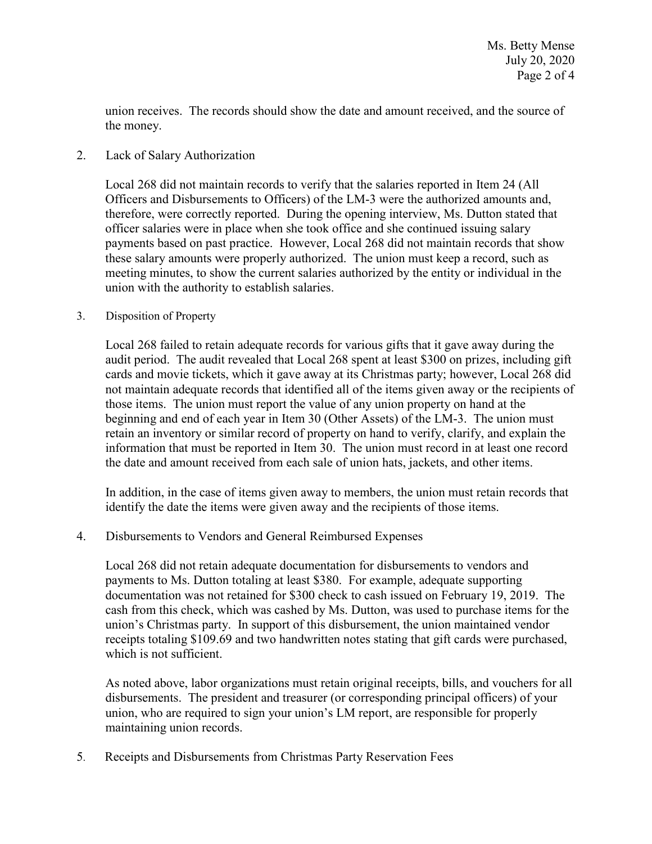union receives. The records should show the date and amount received, and the source of the money.

## 2. Lack of Salary Authorization

 therefore, were correctly reported. During the opening interview, Ms. Dutton stated that Local 268 did not maintain records to verify that the salaries reported in Item 24 (All Officers and Disbursements to Officers) of the LM-3 were the authorized amounts and, officer salaries were in place when she took office and she continued issuing salary payments based on past practice. However, Local 268 did not maintain records that show these salary amounts were properly authorized. The union must keep a record, such as meeting minutes, to show the current salaries authorized by the entity or individual in the union with the authority to establish salaries.

### 3. Disposition of Property

 those items. The union must report the value of any union property on hand at the Local 268 failed to retain adequate records for various gifts that it gave away during the audit period. The audit revealed that Local 268 spent at least \$300 on prizes, including gift cards and movie tickets, which it gave away at its Christmas party; however, Local 268 did not maintain adequate records that identified all of the items given away or the recipients of beginning and end of each year in Item 30 (Other Assets) of the LM-3. The union must retain an inventory or similar record of property on hand to verify, clarify, and explain the information that must be reported in Item 30. The union must record in at least one record the date and amount received from each sale of union hats, jackets, and other items.

 identify the date the items were given away and the recipients of those items. In addition, in the case of items given away to members, the union must retain records that

# 4. Disbursements to Vendors and General Reimbursed Expenses

 receipts totaling \$109.69 and two handwritten notes stating that gift cards were purchased, which is not sufficient. Local 268 did not retain adequate documentation for disbursements to vendors and payments to Ms. Dutton totaling at least \$380. For example, adequate supporting documentation was not retained for \$300 check to cash issued on February 19, 2019. The cash from this check, which was cashed by Ms. Dutton, was used to purchase items for the union's Christmas party. In support of this disbursement, the union maintained vendor

 disbursements. The president and treasurer (or corresponding principal officers) of your As noted above, labor organizations must retain original receipts, bills, and vouchers for all union, who are required to sign your union's LM report, are responsible for properly maintaining union records.

5. 5. Receipts and Disbursements from Christmas Party Reservation Fees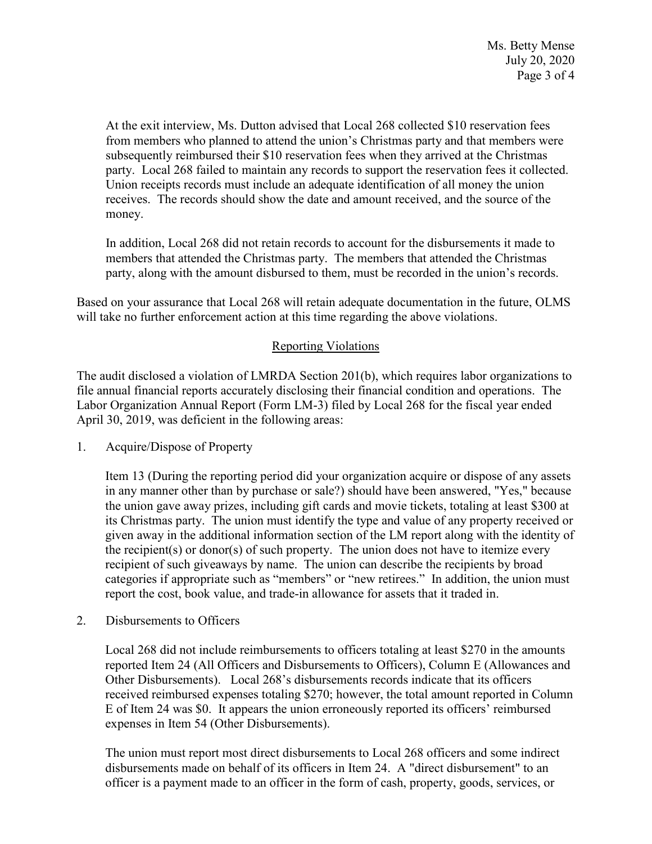subsequently reimbursed their \$10 reservation fees when they arrived at the Christmas party. Local 268 failed to maintain any records to support the reservation fees it collected. At the exit interview, Ms. Dutton advised that Local 268 collected \$10 reservation fees from members who planned to attend the union's Christmas party and that members were Union receipts records must include an adequate identification of all money the union receives. The records should show the date and amount received, and the source of the money.

 members that attended the Christmas party. The members that attended the Christmas party, along with the amount disbursed to them, must be recorded in the union's records. In addition, Local 268 did not retain records to account for the disbursements it made to

 party, along with the amount disbursed to them, must be recorded in the union's records. Based on your assurance that Local 268 will retain adequate documentation in the future, OLMS will take no further enforcement action at this time regarding the above violations.

# Reporting Violations

 Labor Organization Annual Report (Form LM-3) filed by Local 268 for the fiscal year ended The audit disclosed a violation of LMRDA Section 201(b), which requires labor organizations to file annual financial reports accurately disclosing their financial condition and operations. The April 30, 2019, was deficient in the following areas:

1. Acquire/Dispose of Property

 the union gave away prizes, including gift cards and movie tickets, totaling at least \$300 at its Christmas party. The union must identify the type and value of any property received or given away in the additional information section of the LM report along with the identity of categories if appropriate such as "members" or "new retirees." In addition, the union must Item 13 (During the reporting period did your organization acquire or dispose of any assets in any manner other than by purchase or sale?) should have been answered, "Yes," because the recipient(s) or donor(s) of such property. The union does not have to itemize every recipient of such giveaways by name. The union can describe the recipients by broad report the cost, book value, and trade-in allowance for assets that it traded in.

2. Disbursements to Officers

Local 268 did not include reimbursements to officers totaling at least \$270 in the amounts reported Item 24 (All Officers and Disbursements to Officers), Column E (Allowances and Other Disbursements). Local 268's disbursements records indicate that its officers received reimbursed expenses totaling \$270; however, the total amount reported in Column E of Item 24 was \$0. It appears the union erroneously reported its officers' reimbursed expenses in Item 54 (Other Disbursements).

The union must report most direct disbursements to Local 268 officers and some indirect disbursements made on behalf of its officers in Item 24. A "direct disbursement" to an officer is a payment made to an officer in the form of cash, property, goods, services, or